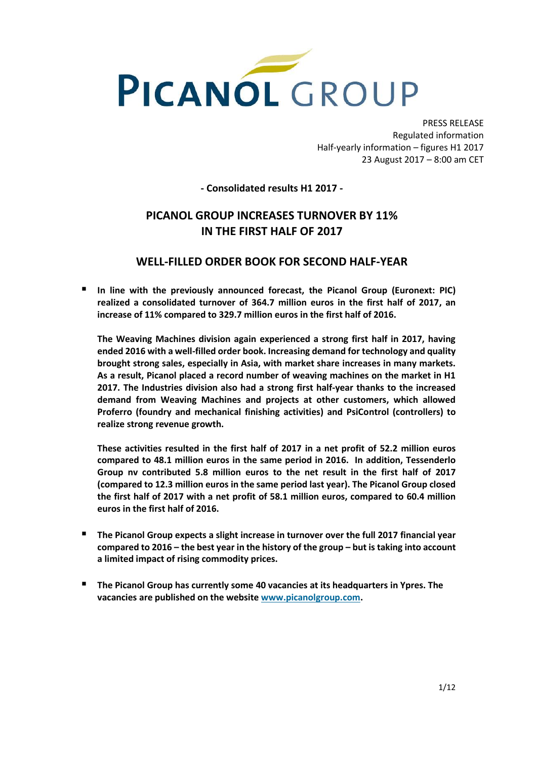

PRESS RELEASE Regulated information Half-yearly information – figures H1 2017 23 August 2017 – 8:00 am CET

# **- Consolidated results H1 2017 -**

# **PICANOL GROUP INCREASES TURNOVER BY 11% IN THE FIRST HALF OF 2017**

# **WELL-FILLED ORDER BOOK FOR SECOND HALF-YEAR**

 **In line with the previously announced forecast, the Picanol Group (Euronext: PIC) realized a consolidated turnover of 364.7 million euros in the first half of 2017, an increase of 11% compared to 329.7 million euros in the first half of 2016.**

**The Weaving Machines division again experienced a strong first half in 2017, having ended 2016 with a well-filled order book. Increasing demand for technology and quality brought strong sales, especially in Asia, with market share increases in many markets. As a result, Picanol placed a record number of weaving machines on the market in H1 2017. The Industries division also had a strong first half-year thanks to the increased demand from Weaving Machines and projects at other customers, which allowed Proferro (foundry and mechanical finishing activities) and PsiControl (controllers) to realize strong revenue growth.**

**These activities resulted in the first half of 2017 in a net profit of 52.2 million euros compared to 48.1 million euros in the same period in 2016. In addition, Tessenderlo Group nv contributed 5.8 million euros to the net result in the first half of 2017 (compared to 12.3 million euros in the same period last year). The Picanol Group closed the first half of 2017 with a net profit of 58.1 million euros, compared to 60.4 million euros in the first half of 2016.**

- **The Picanol Group expects a slight increase in turnover over the full 2017 financial year compared to 2016 – the best year in the history of the group – but is taking into account a limited impact of rising commodity prices.**
- **The Picanol Group has currently some 40 vacancies at its headquarters in Ypres. The vacancies are published on the websit[e www.picanolgroup.com.](http://www.picanolgroup.com/)**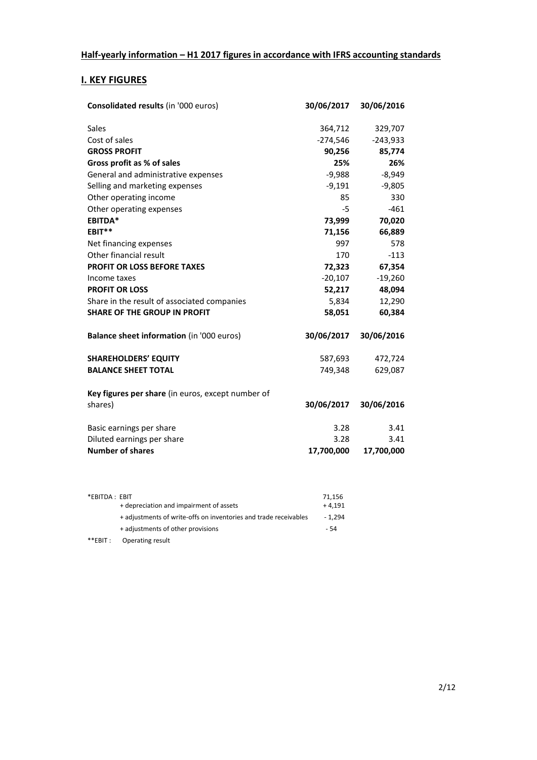# **I. KEY FIGURES**

| Consolidated results (in '000 euros)              | 30/06/2017 | 30/06/2016 |
|---------------------------------------------------|------------|------------|
| Sales                                             | 364,712    | 329,707    |
| Cost of sales                                     | $-274,546$ | $-243,933$ |
| <b>GROSS PROFIT</b>                               | 90,256     | 85,774     |
| Gross profit as % of sales                        | 25%        | 26%        |
| General and administrative expenses               | $-9,988$   | $-8,949$   |
| Selling and marketing expenses                    | $-9,191$   | $-9,805$   |
| Other operating income                            | 85         | 330        |
| Other operating expenses                          | $-5$       | $-461$     |
| EBITDA*                                           | 73,999     | 70,020     |
| EBIT**                                            | 71,156     | 66,889     |
| Net financing expenses                            | 997        | 578        |
| Other financial result                            | 170        | $-113$     |
| <b>PROFIT OR LOSS BEFORE TAXES</b>                | 72,323     | 67,354     |
| Income taxes                                      | $-20,107$  | $-19,260$  |
| <b>PROFIT OR LOSS</b>                             | 52,217     | 48,094     |
| Share in the result of associated companies       | 5,834      | 12,290     |
| <b>SHARE OF THE GROUP IN PROFIT</b>               | 58,051     | 60,384     |
| Balance sheet information (in '000 euros)         | 30/06/2017 | 30/06/2016 |
| <b>SHAREHOLDERS' EQUITY</b>                       | 587,693    | 472,724    |
| <b>BALANCE SHEET TOTAL</b>                        | 749,348    | 629,087    |
| Key figures per share (in euros, except number of |            |            |
| shares)                                           | 30/06/2017 | 30/06/2016 |
| Basic earnings per share                          | 3.28       | 3.41       |
| Diluted earnings per share                        | 3.28       | 3.41       |
| <b>Number of shares</b>                           | 17,700,000 | 17,700,000 |
|                                                   |            |            |

| *EBITDA: EBIT |                                                                  | 71.156   |
|---------------|------------------------------------------------------------------|----------|
|               | + depreciation and impairment of assets                          | $+4.191$ |
|               | + adjustments of write-offs on inventories and trade receivables | - 1.294  |
|               | + adjustments of other provisions                                | - 54     |
| $**$ EBIT :   | Operating result                                                 |          |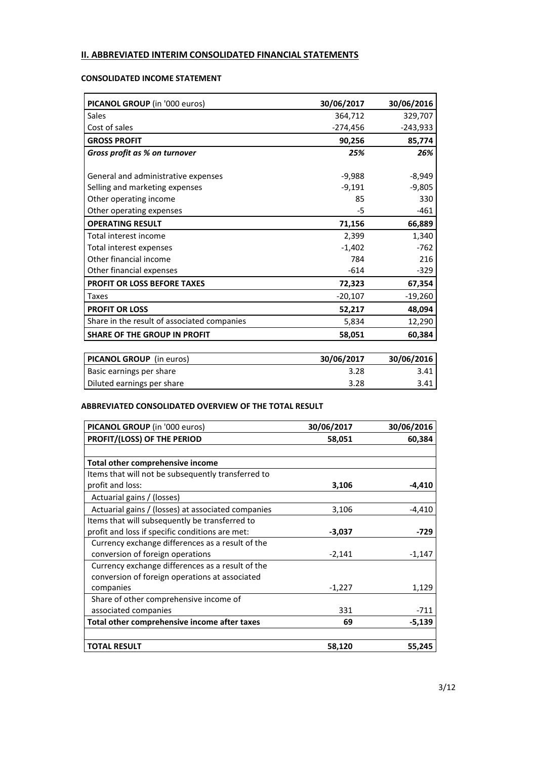# **II. ABBREVIATED INTERIM CONSOLIDATED FINANCIAL STATEMENTS**

# **CONSOLIDATED INCOME STATEMENT**

| PICANOL GROUP (in '000 euros)               | 30/06/2017         | 30/06/2016       |
|---------------------------------------------|--------------------|------------------|
| <b>Sales</b>                                | 364,712            | 329,707          |
| Cost of sales                               | $-274,456$         | -243,933         |
| <b>GROSS PROFIT</b>                         | 90,256             | 85,774           |
| Gross profit as % on turnover               | 25%                | 26%              |
|                                             |                    |                  |
| General and administrative expenses         | $-9,988$           | $-8,949$         |
| Selling and marketing expenses              | $-9,191$           | $-9,805$         |
| Other operating income                      | 85                 | 330              |
| Other operating expenses                    | -5                 | $-461$           |
| <b>OPERATING RESULT</b>                     | 71,156             | 66,889           |
| Total interest income                       | 2,399              | 1,340            |
| Total interest expenses                     | $-1,402$           | $-762$           |
| Other financial income                      | 784                | 216              |
| Other financial expenses                    | $-614$             | $-329$           |
| PROFIT OR LOSS BEFORE TAXES                 | 72,323             | 67,354           |
| Taxes                                       | $-20,107$          | $-19,260$        |
| <b>PROFIT OR LOSS</b>                       | 52,217             | 48,094           |
| Share in the result of associated companies | 5,834              | 12,290           |
| <b>SHARE OF THE GROUP IN PROFIT</b>         | 58,051             | 60,384           |
|                                             | -- <i>----</i> --- | -- <i>----</i> - |

| <b>PICANOL GROUP</b> (in euros) | 30/06/2017 | 30/06/2016 |
|---------------------------------|------------|------------|
| Basic earnings per share        | 3.28       | 3.41       |
| Diluted earnings per share      | 3.28       | 3.41       |

### **ABBREVIATED CONSOLIDATED OVERVIEW OF THE TOTAL RESULT**

| PICANOL GROUP (in '000 euros)                      | 30/06/2017 | 30/06/2016 |
|----------------------------------------------------|------------|------------|
| PROFIT/(LOSS) OF THE PERIOD                        | 58,051     | 60,384     |
|                                                    |            |            |
| Total other comprehensive income                   |            |            |
| Items that will not be subsequently transferred to |            |            |
| profit and loss:                                   | 3,106      | $-4,410$   |
| Actuarial gains / (losses)                         |            |            |
| Actuarial gains / (losses) at associated companies | 3,106      | $-4,410$   |
| Items that will subsequently be transferred to     |            |            |
| profit and loss if specific conditions are met:    | $-3,037$   | -729       |
| Currency exchange differences as a result of the   |            |            |
| conversion of foreign operations                   | $-2,141$   | $-1,147$   |
| Currency exchange differences as a result of the   |            |            |
| conversion of foreign operations at associated     |            |            |
| companies                                          | $-1,227$   | 1,129      |
| Share of other comprehensive income of             |            |            |
| associated companies                               | 331        | $-711$     |
| Total other comprehensive income after taxes       | 69         | $-5,139$   |
|                                                    |            |            |
| <b>TOTAL RESULT</b>                                | 58,120     | 55,245     |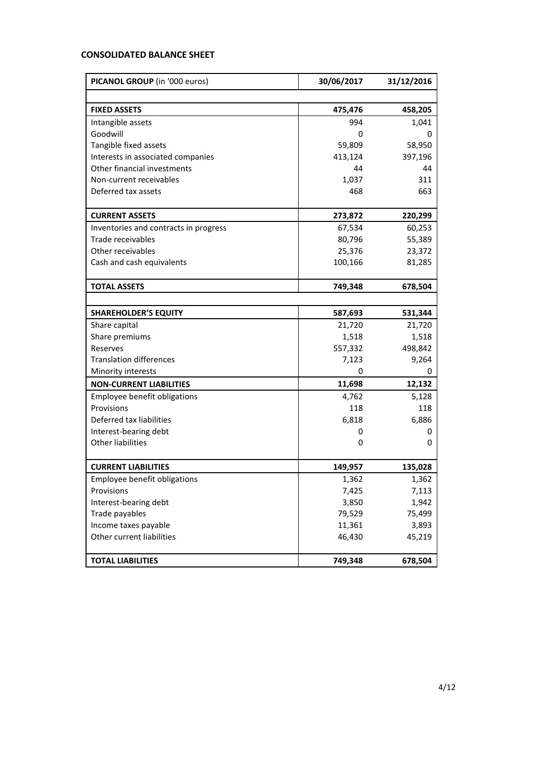# **CONSOLIDATED BALANCE SHEET**

| PICANOL GROUP (in '000 euros)         | 30/06/2017 | 31/12/2016 |  |
|---------------------------------------|------------|------------|--|
|                                       |            |            |  |
| <b>FIXED ASSETS</b>                   | 475,476    | 458,205    |  |
| Intangible assets                     | 994        | 1,041      |  |
| Goodwill                              | 0          | 0          |  |
| Tangible fixed assets                 | 59,809     | 58,950     |  |
| Interests in associated companies     | 413,124    | 397,196    |  |
| Other financial investments           | 44         | 44         |  |
| Non-current receivables               | 1,037      | 311        |  |
| Deferred tax assets                   | 468        | 663        |  |
| <b>CURRENT ASSETS</b>                 | 273,872    | 220,299    |  |
| Inventories and contracts in progress | 67,534     | 60,253     |  |
| Trade receivables                     | 80,796     | 55,389     |  |
| Other receivables                     | 25,376     | 23,372     |  |
| Cash and cash equivalents             | 100,166    | 81,285     |  |
| <b>TOTAL ASSETS</b>                   | 749,348    | 678,504    |  |
|                                       |            |            |  |
| <b>SHAREHOLDER'S EQUITY</b>           | 587,693    | 531,344    |  |
| Share capital                         | 21,720     | 21,720     |  |
| Share premiums                        | 1,518      | 1,518      |  |
| Reserves                              | 557,332    | 498,842    |  |
| <b>Translation differences</b>        | 7,123      | 9,264      |  |
| Minority interests                    | 0          | $\Omega$   |  |
| <b>NON-CURRENT LIABILITIES</b>        | 11,698     | 12,132     |  |
| Employee benefit obligations          | 4,762      | 5,128      |  |
| Provisions                            | 118        | 118        |  |
| Deferred tax liabilities              | 6,818      | 6,886      |  |
| Interest-bearing debt                 | 0          | 0          |  |
| <b>Other liabilities</b>              | 0          | 0          |  |
| <b>CURRENT LIABILITIES</b>            | 149,957    | 135,028    |  |
| Employee benefit obligations          | 1,362      | 1,362      |  |
| Provisions                            | 7,425      | 7,113      |  |
| Interest-bearing debt                 | 3,850      | 1,942      |  |
| Trade payables                        | 79,529     | 75,499     |  |
| Income taxes payable                  | 11,361     | 3,893      |  |
| Other current liabilities             | 46,430     | 45,219     |  |
| <b>TOTAL LIABILITIES</b>              | 749,348    | 678,504    |  |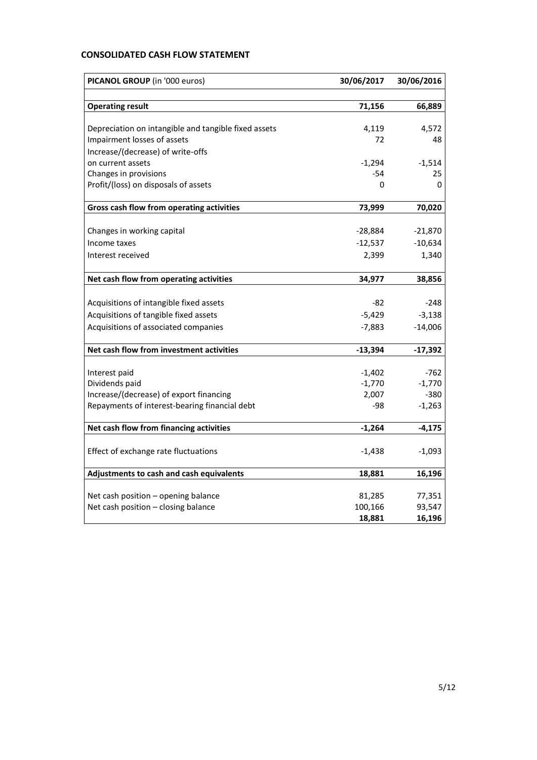# **CONSOLIDATED CASH FLOW STATEMENT**

| PICANOL GROUP (in '000 euros)                        | 30/06/2017 | 30/06/2016 |  |
|------------------------------------------------------|------------|------------|--|
|                                                      |            |            |  |
| <b>Operating result</b>                              | 71,156     | 66,889     |  |
|                                                      |            |            |  |
| Depreciation on intangible and tangible fixed assets | 4,119      | 4,572      |  |
| Impairment losses of assets                          | 72         | 48         |  |
| Increase/(decrease) of write-offs                    |            |            |  |
| on current assets                                    | $-1,294$   | $-1,514$   |  |
| Changes in provisions                                | $-54$      | 25         |  |
| Profit/(loss) on disposals of assets                 | 0          | 0          |  |
| Gross cash flow from operating activities            | 73,999     | 70,020     |  |
| Changes in working capital                           | $-28,884$  | $-21,870$  |  |
| Income taxes                                         | $-12,537$  | $-10,634$  |  |
| Interest received                                    | 2,399      | 1,340      |  |
|                                                      |            |            |  |
| Net cash flow from operating activities              | 34,977     | 38,856     |  |
|                                                      |            |            |  |
| Acquisitions of intangible fixed assets              | -82        | $-248$     |  |
| Acquisitions of tangible fixed assets                | $-5,429$   | $-3,138$   |  |
| Acquisitions of associated companies                 | $-7,883$   | $-14,006$  |  |
| Net cash flow from investment activities             | $-13,394$  | $-17,392$  |  |
|                                                      |            |            |  |
| Interest paid                                        | $-1,402$   | -762       |  |
| Dividends paid                                       | $-1,770$   | $-1,770$   |  |
| Increase/(decrease) of export financing              | 2,007      | $-380$     |  |
| Repayments of interest-bearing financial debt        | -98        | $-1,263$   |  |
| Net cash flow from financing activities              | $-1,264$   | $-4,175$   |  |
|                                                      |            |            |  |
| Effect of exchange rate fluctuations                 | $-1,438$   | -1,093     |  |
| Adjustments to cash and cash equivalents             | 18,881     | 16,196     |  |
| Net cash position - opening balance                  | 81,285     | 77,351     |  |
| Net cash position - closing balance                  | 100,166    | 93,547     |  |
|                                                      | 18,881     | 16,196     |  |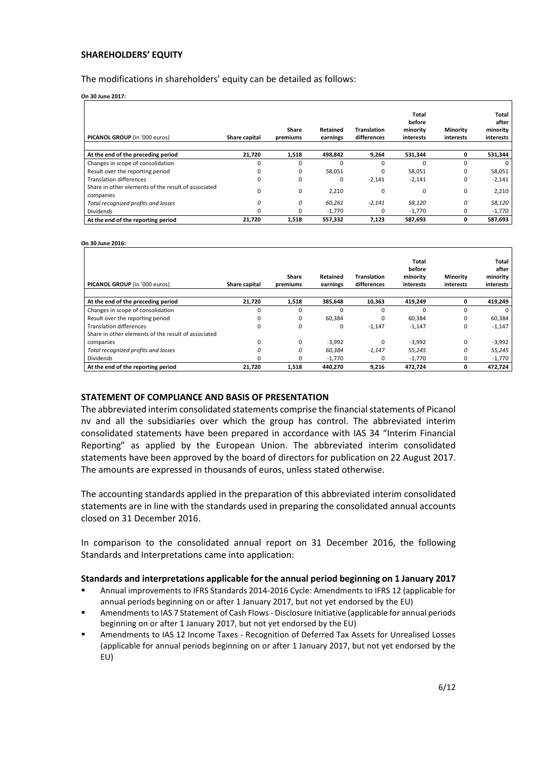### **SHAREHOLDERS' EQUITY**

The modifications in shareholders' equity can be detailed as follows:

**On 30 June 2017:**

| PICANOL GROUP (in '000 euros)                                    | Share capital | <b>Share</b><br>premiums | Retained<br>earnings | Translation<br>differences | Total<br>before<br>minority<br>interests | <b>Minority</b><br>interests | Total<br>after<br>minority<br>interests |
|------------------------------------------------------------------|---------------|--------------------------|----------------------|----------------------------|------------------------------------------|------------------------------|-----------------------------------------|
| At the end of the preceding period                               | 21,720        | 1,518                    | 498,842              | 9,264                      | 531,344                                  | O                            | 531,344                                 |
| Changes in scope of consolidation                                | $\Omega$      |                          |                      | $\Omega$                   | 0                                        | $\Omega$                     | $\Omega$                                |
| Result over the reporting period                                 | 0             | $\Omega$                 | 58,051               | $\Omega$                   | 58,051                                   | $\Omega$                     | 58,051                                  |
| <b>Translation differences</b>                                   | 0             | 0                        | 0                    | $-2,141$                   | $-2,141$                                 | 0                            | $-2,141$                                |
| Share in other elements of the result of associated<br>companies | $\Omega$      | 0                        | 2,210                | 0                          | 0                                        | 0                            | 2,210                                   |
| Total recognized profits and losses                              | 0             | 0                        | 60.261               | $-2,141$                   | 58,120                                   | 0                            | 58,120                                  |
| Dividends                                                        | 0             |                          | $-1,770$             | 0                          | $-1,770$                                 | 0                            | $-1,770$                                |
| At the end of the reporting period                               | 21.720        | 1,518                    | 557,332              | 7,123                      | 587,693                                  | 0                            | 587,693                                 |

**On 30 June 2016:**

| PICANOL GROUP (in '000 euros)                       | Share capital | Share<br>premiums | Retained<br>earnings | Translation<br>differences | Total<br>before<br>minority<br>interests | <b>Minority</b><br>interests | Total<br>after<br>minority<br>interests |
|-----------------------------------------------------|---------------|-------------------|----------------------|----------------------------|------------------------------------------|------------------------------|-----------------------------------------|
| At the end of the preceding period                  | 21,720        | 1,518             | 385,648              | 10,363                     | 419,249                                  | 0                            | 419,249                                 |
| Changes in scope of consolidation                   | $\Omega$      |                   | O                    | $\Omega$                   | $\Omega$                                 | $\Omega$                     | $\Omega$                                |
| Result over the reporting period                    | $\Omega$      | 0                 | 60,384               | 0                          | 60,384                                   | $\Omega$                     | 60,384                                  |
| <b>Translation differences</b>                      | $\Omega$      | 0                 | 0                    | $-1,147$                   | $-1,147$                                 | 0                            | $-1,147$                                |
| Share in other elements of the result of associated |               |                   |                      |                            |                                          |                              |                                         |
| companies                                           | $\Omega$      | $\Omega$          | $-3,992$             | $\Omega$                   | $-3,992$                                 | $\Omega$                     | $-3,992$                                |
| Total recognized profits and losses                 | $\Omega$      | 0                 | 60,384               | $-1,147$                   | 55,245                                   | 0                            | 55,245                                  |
| <b>Dividends</b>                                    | $\Omega$      | <sup>0</sup>      | $-1,770$             | <sup>0</sup>               | $-1,770$                                 | 0                            | $-1,770$                                |
| At the end of the reporting period                  | 21,720        | 1,518             | 440,270              | 9,216                      | 472,724                                  | 0                            | 472,724                                 |

### **STATEMENT OF COMPLIANCE AND BASIS OF PRESENTATION**

The abbreviated interim consolidated statements comprise the financial statements of Picanol nv and all the subsidiaries over which the group has control. The abbreviated interim consolidated statements have been prepared in accordance with IAS 34 "Interim Financial Reporting" as applied by the European Union. The abbreviated interim consolidated statements have been approved by the board of directors for publication on 22 August 2017. The amounts are expressed in thousands of euros, unless stated otherwise.

The accounting standards applied in the preparation of this abbreviated interim consolidated statements are in line with the standards used in preparing the consolidated annual accounts closed on 31 December 2016.

In comparison to the consolidated annual report on 31 December 2016, the following Standards and Interpretations came into application:

### **Standards and interpretations applicable for the annual period beginning on 1 January 2017**

- Annual improvements to IFRS Standards 2014-2016 Cycle: Amendments to IFRS 12 (applicable for annual periods beginning on or after 1 January 2017, but not yet endorsed by the EU)
- Amendments to IAS 7 Statement of Cash Flows Disclosure Initiative (applicable for annual periods beginning on or after 1 January 2017, but not yet endorsed by the EU)
- Amendments to IAS 12 Income Taxes Recognition of Deferred Tax Assets for Unrealised Losses (applicable for annual periods beginning on or after 1 January 2017, but not yet endorsed by the EU)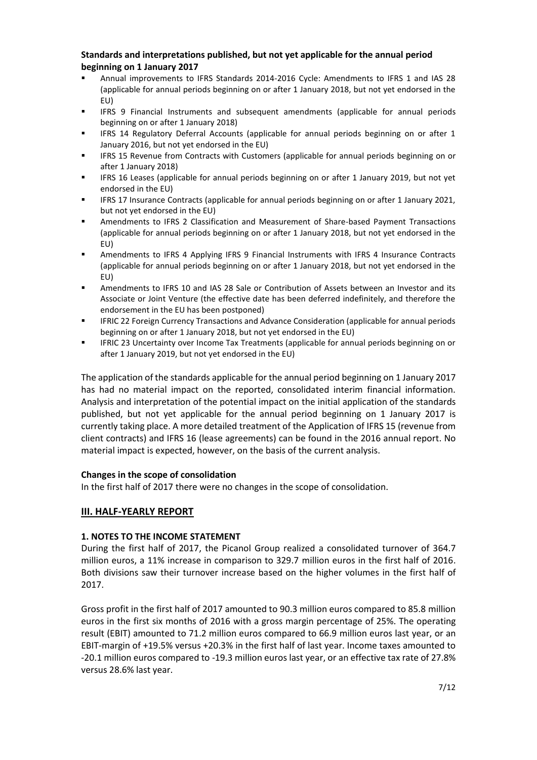# **Standards and interpretations published, but not yet applicable for the annual period beginning on 1 January 2017**

- Annual improvements to IFRS Standards 2014-2016 Cycle: Amendments to IFRS 1 and IAS 28 (applicable for annual periods beginning on or after 1 January 2018, but not yet endorsed in the EU)
- IFRS 9 Financial Instruments and subsequent amendments (applicable for annual periods beginning on or after 1 January 2018)
- IFRS 14 Regulatory Deferral Accounts (applicable for annual periods beginning on or after 1 January 2016, but not yet endorsed in the EU)
- IFRS 15 Revenue from Contracts with Customers (applicable for annual periods beginning on or after 1 January 2018)
- IFRS 16 Leases (applicable for annual periods beginning on or after 1 January 2019, but not yet endorsed in the EU)
- IFRS 17 Insurance Contracts (applicable for annual periods beginning on or after 1 January 2021, but not yet endorsed in the EU)
- Amendments to IFRS 2 Classification and Measurement of Share-based Payment Transactions (applicable for annual periods beginning on or after 1 January 2018, but not yet endorsed in the EU)
- Amendments to IFRS 4 Applying IFRS 9 Financial Instruments with IFRS 4 Insurance Contracts (applicable for annual periods beginning on or after 1 January 2018, but not yet endorsed in the EU)
- Amendments to IFRS 10 and IAS 28 Sale or Contribution of Assets between an Investor and its Associate or Joint Venture (the effective date has been deferred indefinitely, and therefore the endorsement in the EU has been postponed)
- IFRIC 22 Foreign Currency Transactions and Advance Consideration (applicable for annual periods beginning on or after 1 January 2018, but not yet endorsed in the EU)
- IFRIC 23 Uncertainty over Income Tax Treatments (applicable for annual periods beginning on or after 1 January 2019, but not yet endorsed in the EU)

The application of the standards applicable for the annual period beginning on 1 January 2017 has had no material impact on the reported, consolidated interim financial information. Analysis and interpretation of the potential impact on the initial application of the standards published, but not yet applicable for the annual period beginning on 1 January 2017 is currently taking place. A more detailed treatment of the Application of IFRS 15 (revenue from client contracts) and IFRS 16 (lease agreements) can be found in the 2016 annual report. No material impact is expected, however, on the basis of the current analysis.

# **Changes in the scope of consolidation**

In the first half of 2017 there were no changes in the scope of consolidation.

# **III. HALF-YEARLY REPORT**

# **1. NOTES TO THE INCOME STATEMENT**

During the first half of 2017, the Picanol Group realized a consolidated turnover of 364.7 million euros, a 11% increase in comparison to 329.7 million euros in the first half of 2016. Both divisions saw their turnover increase based on the higher volumes in the first half of 2017.

Gross profit in the first half of 2017 amounted to 90.3 million euros compared to 85.8 million euros in the first six months of 2016 with a gross margin percentage of 25%. The operating result (EBIT) amounted to 71.2 million euros compared to 66.9 million euros last year, or an EBIT-margin of +19.5% versus +20.3% in the first half of last year. Income taxes amounted to -20.1 million euros compared to -19.3 million euros last year, or an effective tax rate of 27.8% versus 28.6% last year.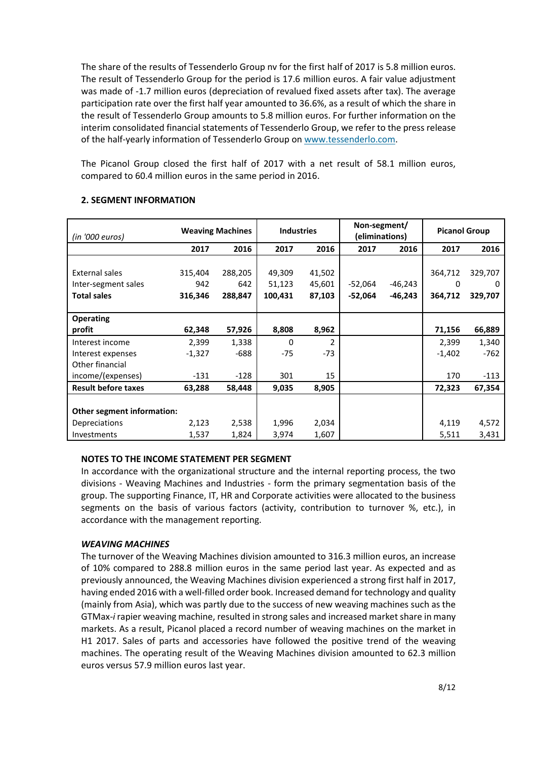The share of the results of Tessenderlo Group nv for the first half of 2017 is 5.8 million euros. The result of Tessenderlo Group for the period is 17.6 million euros. A fair value adjustment was made of -1.7 million euros (depreciation of revalued fixed assets after tax). The average participation rate over the first half year amounted to 36.6%, as a result of which the share in the result of Tessenderlo Group amounts to 5.8 million euros. For further information on the interim consolidated financial statements of Tessenderlo Group, we refer to the press release of the half-yearly information of Tessenderlo Group o[n www.tessenderlo.com.](http://www.tessenderlo.com/)

The Picanol Group closed the first half of 2017 with a net result of 58.1 million euros, compared to 60.4 million euros in the same period in 2016.

| (in '000 euros)            |          | <b>Weaving Machines</b> | <b>Industries</b> |                          | Non-segment/<br>(eliminations) |           | <b>Picanol Group</b> |         |
|----------------------------|----------|-------------------------|-------------------|--------------------------|--------------------------------|-----------|----------------------|---------|
|                            | 2017     | 2016                    | 2017              | 2016                     | 2017                           | 2016      | 2017                 | 2016    |
|                            |          |                         |                   |                          |                                |           |                      |         |
| External sales             | 315,404  | 288,205                 | 49,309            | 41,502                   |                                |           | 364,712              | 329,707 |
| Inter-segment sales        | 942      | 642                     | 51,123            | 45,601                   | -52,064                        | -46,243   | 0                    | 0       |
| <b>Total sales</b>         | 316,346  | 288,847                 | 100,431           | 87,103                   | $-52,064$                      | $-46,243$ | 364,712              | 329,707 |
|                            |          |                         |                   |                          |                                |           |                      |         |
| <b>Operating</b>           |          |                         |                   |                          |                                |           |                      |         |
| profit                     | 62,348   | 57,926                  | 8,808             | 8,962                    |                                |           | 71,156               | 66,889  |
| Interest income            | 2,399    | 1,338                   | 0                 | $\overline{\phantom{a}}$ |                                |           | 2,399                | 1,340   |
| Interest expenses          | $-1,327$ | $-688$                  | $-75$             | $-73$                    |                                |           | $-1,402$             | $-762$  |
| Other financial            |          |                         |                   |                          |                                |           |                      |         |
| income/(expenses)          | $-131$   | $-128$                  | 301               | 15                       |                                |           | 170                  | $-113$  |
| <b>Result before taxes</b> | 63,288   | 58,448                  | 9,035             | 8,905                    |                                |           | 72,323               | 67,354  |
|                            |          |                         |                   |                          |                                |           |                      |         |
| Other segment information: |          |                         |                   |                          |                                |           |                      |         |
| Depreciations              | 2,123    | 2,538                   | 1,996             | 2,034                    |                                |           | 4,119                | 4,572   |
| Investments                | 1,537    | 1,824                   | 3,974             | 1,607                    |                                |           | 5,511                | 3,431   |

# **2. SEGMENT INFORMATION**

# **NOTES TO THE INCOME STATEMENT PER SEGMENT**

In accordance with the organizational structure and the internal reporting process, the two divisions - Weaving Machines and Industries - form the primary segmentation basis of the group. The supporting Finance, IT, HR and Corporate activities were allocated to the business segments on the basis of various factors (activity, contribution to turnover %, etc.), in accordance with the management reporting.

# *WEAVING MACHINES*

The turnover of the Weaving Machines division amounted to 316.3 million euros, an increase of 10% compared to 288.8 million euros in the same period last year. As expected and as previously announced, the Weaving Machines division experienced a strong first half in 2017, having ended 2016 with a well-filled order book. Increased demand for technology and quality (mainly from Asia), which was partly due to the success of new weaving machines such as the GTMax-*i* rapier weaving machine, resulted in strong sales and increased market share in many markets. As a result, Picanol placed a record number of weaving machines on the market in H1 2017. Sales of parts and accessories have followed the positive trend of the weaving machines. The operating result of the Weaving Machines division amounted to 62.3 million euros versus 57.9 million euros last year.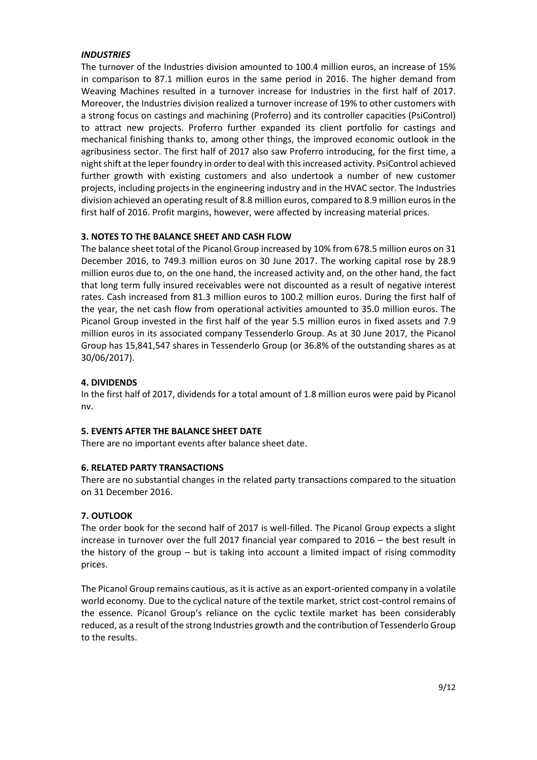# *INDUSTRIES*

The turnover of the Industries division amounted to 100.4 million euros, an increase of 15% in comparison to 87.1 million euros in the same period in 2016. The higher demand from Weaving Machines resulted in a turnover increase for Industries in the first half of 2017. Moreover, the Industries division realized a turnover increase of 19% to other customers with a strong focus on castings and machining (Proferro) and its controller capacities (PsiControl) to attract new projects. Proferro further expanded its client portfolio for castings and mechanical finishing thanks to, among other things, the improved economic outlook in the agribusiness sector. The first half of 2017 also saw Proferro introducing, for the first time, a night shift at the Ieper foundry in order to deal with this increased activity. PsiControl achieved further growth with existing customers and also undertook a number of new customer projects, including projects in the engineering industry and in the HVAC sector. The Industries division achieved an operating result of 8.8 million euros, compared to 8.9 million euros in the first half of 2016. Profit margins, however, were affected by increasing material prices.

# **3. NOTES TO THE BALANCE SHEET AND CASH FLOW**

The balance sheet total of the Picanol Group increased by 10% from 678.5 million euros on 31 December 2016, to 749.3 million euros on 30 June 2017. The working capital rose by 28.9 million euros due to, on the one hand, the increased activity and, on the other hand, the fact that long term fully insured receivables were not discounted as a result of negative interest rates. Cash increased from 81.3 million euros to 100.2 million euros. During the first half of the year, the net cash flow from operational activities amounted to 35.0 million euros. The Picanol Group invested in the first half of the year 5.5 million euros in fixed assets and 7.9 million euros in its associated company Tessenderlo Group. As at 30 June 2017, the Picanol Group has 15,841,547 shares in Tessenderlo Group (or 36.8% of the outstanding shares as at 30/06/2017).

# **4. DIVIDENDS**

In the first half of 2017, dividends for a total amount of 1.8 million euros were paid by Picanol nv.

# **5. EVENTS AFTER THE BALANCE SHEET DATE**

There are no important events after balance sheet date.

# **6. RELATED PARTY TRANSACTIONS**

There are no substantial changes in the related party transactions compared to the situation on 31 December 2016.

# **7. OUTLOOK**

The order book for the second half of 2017 is well-filled. The Picanol Group expects a slight increase in turnover over the full 2017 financial year compared to 2016 – the best result in the history of the group  $-$  but is taking into account a limited impact of rising commodity prices.

The Picanol Group remains cautious, as it is active as an export-oriented company in a volatile world economy. Due to the cyclical nature of the textile market, strict cost-control remains of the essence. Picanol Group's reliance on the cyclic textile market has been considerably reduced, as a result of the strong Industries growth and the contribution of Tessenderlo Group to the results.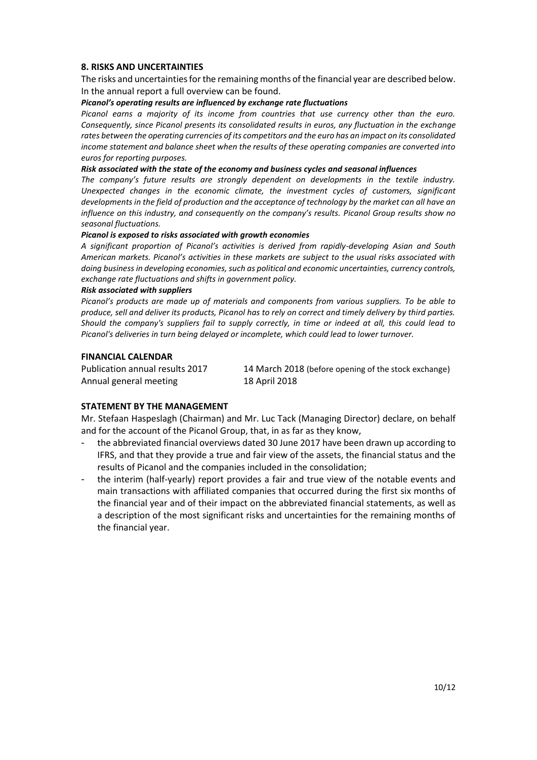# **8. RISKS AND UNCERTAINTIES**

The risks and uncertainties for the remaining months of the financial year are described below. In the annual report a full overview can be found.

### *Picanol's operating results are influenced by exchange rate fluctuations*

*Picanol earns a majority of its income from countries that use currency other than the euro. Consequently, since Picanol presents its consolidated results in euros, any fluctuation in the exchange rates between the operating currencies of its competitors and the euro has an impact on its consolidated income statement and balance sheet when the results of these operating companies are converted into euros for reporting purposes.* 

#### *Risk associated with the state of the economy and business cycles and seasonal influences*

*The company's future results are strongly dependent on developments in the textile industry. Unexpected changes in the economic climate, the investment cycles of customers, significant developments in the field of production and the acceptance of technology by the market can all have an influence on this industry, and consequently on the company's results. Picanol Group results show no seasonal fluctuations.* 

#### *Picanol is exposed to risks associated with growth economies*

*A significant proportion of Picanol's activities is derived from rapidly-developing Asian and South American markets. Picanol's activities in these markets are subject to the usual risks associated with doing businessin developing economies, such as political and economic uncertainties, currency controls, exchange rate fluctuations and shifts in government policy.* 

#### *Risk associated with suppliers*

*Picanol's products are made up of materials and components from various suppliers. To be able to produce, sell and deliver its products, Picanol has to rely on correct and timely delivery by third parties. Should the company's suppliers fail to supply correctly, in time or indeed at all, this could lead to Picanol's deliveries in turn being delayed or incomplete, which could lead to lower turnover.* 

### **FINANCIAL CALENDAR**

Annual general meeting 18 April 2018

Publication annual results 2017 14 March 2018 (before opening of the stock exchange)

# **STATEMENT BY THE MANAGEMENT**

Mr. Stefaan Haspeslagh (Chairman) and Mr. Luc Tack (Managing Director) declare, on behalf and for the account of the Picanol Group, that, in as far as they know,

- the abbreviated financial overviews dated 30 June 2017 have been drawn up according to IFRS, and that they provide a true and fair view of the assets, the financial status and the results of Picanol and the companies included in the consolidation;
- the interim (half-yearly) report provides a fair and true view of the notable events and main transactions with affiliated companies that occurred during the first six months of the financial year and of their impact on the abbreviated financial statements, as well as a description of the most significant risks and uncertainties for the remaining months of the financial year.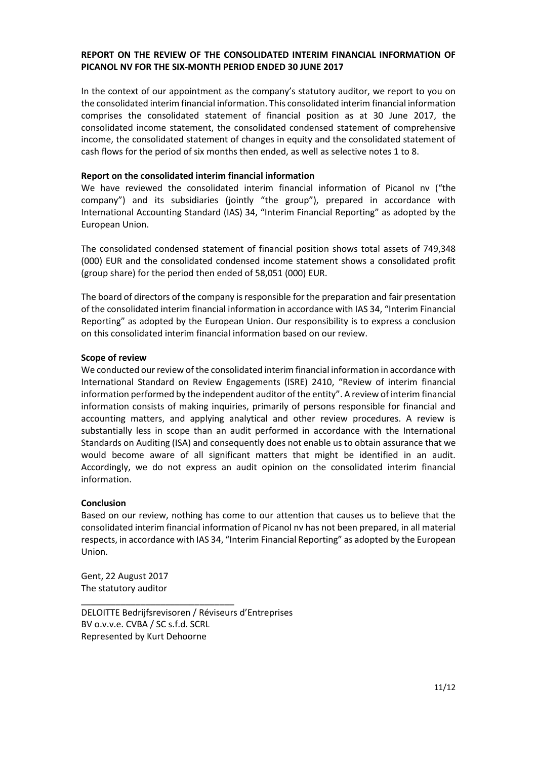# **REPORT ON THE REVIEW OF THE CONSOLIDATED INTERIM FINANCIAL INFORMATION OF PICANOL NV FOR THE SIX-MONTH PERIOD ENDED 30 JUNE 2017**

In the context of our appointment as the company's statutory auditor, we report to you on the consolidated interim financial information. This consolidated interim financial information comprises the consolidated statement of financial position as at 30 June 2017, the consolidated income statement, the consolidated condensed statement of comprehensive income, the consolidated statement of changes in equity and the consolidated statement of cash flows for the period of six months then ended, as well as selective notes 1 to 8.

### **Report on the consolidated interim financial information**

We have reviewed the consolidated interim financial information of Picanol nv ("the company") and its subsidiaries (jointly "the group"), prepared in accordance with International Accounting Standard (IAS) 34, "Interim Financial Reporting" as adopted by the European Union.

The consolidated condensed statement of financial position shows total assets of 749,348 (000) EUR and the consolidated condensed income statement shows a consolidated profit (group share) for the period then ended of 58,051 (000) EUR.

The board of directors of the company is responsible for the preparation and fair presentation of the consolidated interim financial information in accordance with IAS 34, "Interim Financial Reporting" as adopted by the European Union. Our responsibility is to express a conclusion on this consolidated interim financial information based on our review.

### **Scope of review**

We conducted our review of the consolidated interim financial information in accordance with International Standard on Review Engagements (ISRE) 2410, "Review of interim financial information performed by the independent auditor of the entity". A review of interim financial information consists of making inquiries, primarily of persons responsible for financial and accounting matters, and applying analytical and other review procedures. A review is substantially less in scope than an audit performed in accordance with the International Standards on Auditing (ISA) and consequently does not enable us to obtain assurance that we would become aware of all significant matters that might be identified in an audit. Accordingly, we do not express an audit opinion on the consolidated interim financial information.

# **Conclusion**

Based on our review, nothing has come to our attention that causes us to believe that the consolidated interim financial information of Picanol nv has not been prepared, in all material respects, in accordance with IAS 34, "Interim Financial Reporting" as adopted by the European Union.

Gent, 22 August 2017 The statutory auditor

DELOITTE Bedrijfsrevisoren / Réviseurs d'Entreprises BV o.v.v.e. CVBA / SC s.f.d. SCRL Represented by Kurt Dehoorne

\_\_\_\_\_\_\_\_\_\_\_\_\_\_\_\_\_\_\_\_\_\_\_\_\_\_\_\_\_\_\_